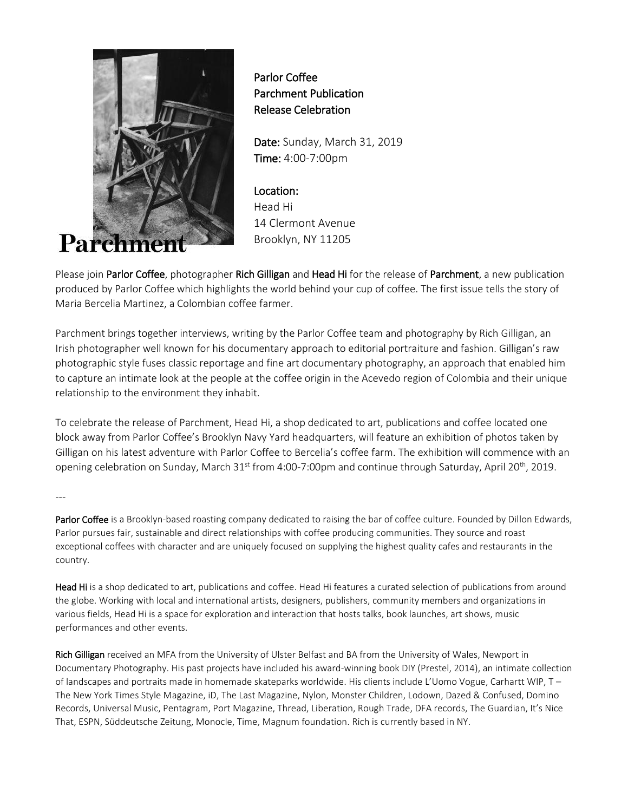

 Parlor Coffee Parchment Publication Release Celebration

Date: Sunday, March 31, 2019 Time: 4:00-7:00pm

Location: Head Hi 14 Clermont Avenue Brooklyn, NY 11205

Please join Parlor Coffee, photographer Rich Gilligan and Head Hi for the release of Parchment, a new publication produced by Parlor Coffee which highlights the world behind your cup of coffee. The first issue tells the story of Maria Bercelia Martinez, a Colombian coffee farmer.

Parchment brings together interviews, writing by the Parlor Coffee team and photography by Rich Gilligan, an Irish photographer well known for his documentary approach to editorial portraiture and fashion. Gilligan's raw photographic style fuses classic reportage and fine art documentary photography, an approach that enabled him to capture an intimate look at the people at the coffee origin in the Acevedo region of Colombia and their unique relationship to the environment they inhabit.

To celebrate the release of Parchment, Head Hi, a shop dedicated to art, publications and coffee located one block away from Parlor Coffee's Brooklyn Navy Yard headquarters, will feature an exhibition of photos taken by Gilligan on his latest adventure with Parlor Coffee to Bercelia's coffee farm. The exhibition will commence with an opening celebration on Sunday, March  $31^{st}$  from 4:00-7:00pm and continue through Saturday, April 20<sup>th</sup>, 2019.

---

Parlor Coffee is a Brooklyn-based roasting company dedicated to raising the bar of coffee culture. Founded by Dillon Edwards, Parlor pursues fair, sustainable and direct relationships with coffee producing communities. They source and roast exceptional coffees with character and are uniquely focused on supplying the highest quality cafes and restaurants in the country.

Head Hi is a shop dedicated to art, publications and coffee. Head Hi features a curated selection of publications from around the globe. Working with local and international artists, designers, publishers, community members and organizations in various fields, Head Hi is a space for exploration and interaction that hosts talks, book launches, art shows, music performances and other events.

Rich Gilligan received an MFA from the University of Ulster Belfast and BA from the University of Wales, Newport in Documentary Photography. His past projects have included his award-winning book DIY (Prestel, 2014), an intimate collection of landscapes and portraits made in homemade skateparks worldwide. His clients include L'Uomo Vogue, Carhartt WIP, T – The New York Times Style Magazine, iD, The Last Magazine, Nylon, Monster Children, Lodown, Dazed & Confused, Domino Records, Universal Music, Pentagram, Port Magazine, Thread, Liberation, Rough Trade, DFA records, The Guardian, It's Nice That, ESPN, Süddeutsche Zeitung, Monocle, Time, Magnum foundation. Rich is currently based in NY.